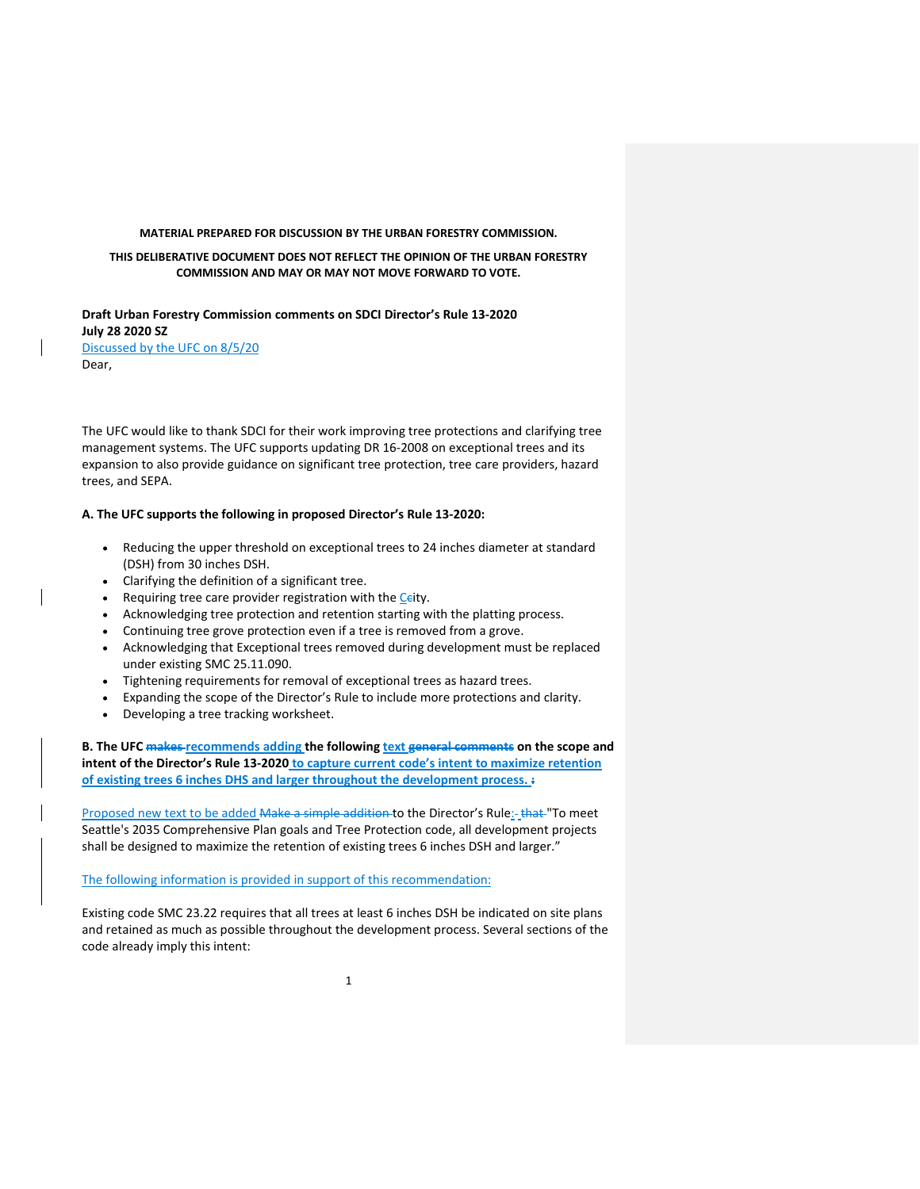#### **MATERIAL PREPARED FOR DISCUSSION BY THE URBAN FORESTRY COMMISSION.**

### **THIS DELIBERATIVE DOCUMENT DOES NOT REFLECT THE OPINION OF THE URBAN FORESTRY COMMISSION AND MAY OR MAY NOT MOVE FORWARD TO VOTE.**

**Draft Urban Forestry Commission comments on SDCI Director's Rule 13-2020 July 28 2020 SZ** Discussed by the UFC on 8/5/20 Dear,

The UFC would like to thank SDCI for their work improving tree protections and clarifying tree management systems. The UFC supports updating DR 16-2008 on exceptional trees and its expansion to also provide guidance on significant tree protection, tree care providers, hazard trees, and SEPA.

### **A. The UFC supports the following in proposed Director's Rule 13-2020:**

- Reducing the upper threshold on exceptional trees to 24 inches diameter at standard (DSH) from 30 inches DSH.
- Clarifying the definition of a significant tree.
- Requiring tree care provider registration with the Ceity.
- Acknowledging tree protection and retention starting with the platting process.
- Continuing tree grove protection even if a tree is removed from a grove.
- Acknowledging that Exceptional trees removed during development must be replaced under existing SMC 25.11.090.
- Tightening requirements for removal of exceptional trees as hazard trees.
- Expanding the scope of the Director's Rule to include more protections and clarity.
- Developing a tree tracking worksheet.

**B. The UFC makes recommends adding the following text general comments on the scope and intent of the Director's Rule 13-2020 to capture current code's intent to maximize retention of existing trees 6 inches DHS and larger throughout the development process. :**

Proposed new text to be added Make a simple addition to the Director's Rule: that "To meet Seattle's 2035 Comprehensive Plan goals and Tree Protection code, all development projects shall be designed to maximize the retention of existing trees 6 inches DSH and larger."

### The following information is provided in support of this recommendation:

Existing code SMC 23.22 requires that all trees at least 6 inches DSH be indicated on site plans and retained as much as possible throughout the development process. Several sections of the code already imply this intent: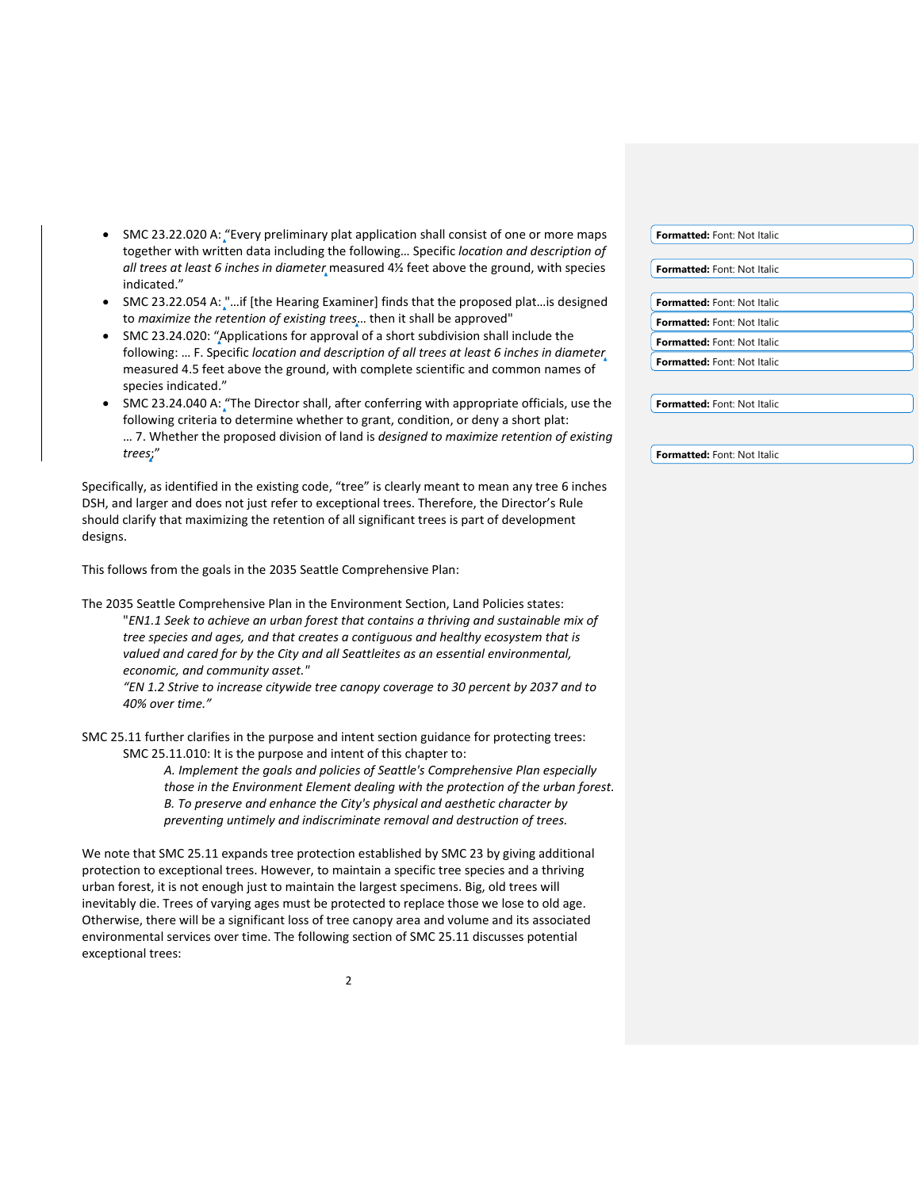- SMC 23.22.020 A: "Every preliminary plat application shall consist of one or more maps together with written data including the following… Specific *location and description of all trees at least 6 inches in diameter* measured 4½ feet above the ground, with species indicated."
- SMC 23.22.054 A: "...if [the Hearing Examiner] finds that the proposed plat...is designed to *maximize the retention of existing trees*… then it shall be approved"
- SMC 23.24.020: "Applications for approval of a short subdivision shall include the following: … F. Specific *location and description of all trees at least 6 inches in diameter* measured 4.5 feet above the ground, with complete scientific and common names of species indicated."
- SMC 23.24.040 A: "The Director shall, after conferring with appropriate officials, use the following criteria to determine whether to grant, condition, or deny a short plat: … 7. Whether the proposed division of land is *designed to maximize retention of existing trees*;"

Specifically, as identified in the existing code, "tree" is clearly meant to mean any tree 6 inches DSH, and larger and does not just refer to exceptional trees. Therefore, the Director's Rule should clarify that maximizing the retention of all significant trees is part of development designs.

This follows from the goals in the 2035 Seattle Comprehensive Plan:

The 2035 Seattle Comprehensive Plan in the Environment Section, Land Policies states: "*EN1.1 Seek to achieve an urban forest that contains a thriving and sustainable mix of tree species and ages, and that creates a contiguous and healthy ecosystem that is valued and cared for by the City and all Seattleites as an essential environmental, economic, and community asset."*

*"EN 1.2 Strive to increase citywide tree canopy coverage to 30 percent by 2037 and to 40% over time."*

SMC 25.11 further clarifies in the purpose and intent section guidance for protecting trees: SMC 25.11.010: It is the purpose and intent of this chapter to:

> *A. Implement the goals and policies of Seattle's Comprehensive Plan especially those in the Environment Element dealing with the protection of the urban forest. B. To preserve and enhance the City's physical and aesthetic character by preventing untimely and indiscriminate removal and destruction of trees.*

We note that SMC 25.11 expands tree protection established by SMC 23 by giving additional protection to exceptional trees. However, to maintain a specific tree species and a thriving urban forest, it is not enough just to maintain the largest specimens. Big, old trees will inevitably die. Trees of varying ages must be protected to replace those we lose to old age. Otherwise, there will be a significant loss of tree canopy area and volume and its associated environmental services over time. The following section of SMC 25.11 discusses potential exceptional trees:

| Formatted: Font: Not Italic        |  |
|------------------------------------|--|
|                                    |  |
| Formatted: Font: Not Italic        |  |
|                                    |  |
| Formatted: Font: Not Italic        |  |
| <b>Formatted:</b> Font: Not Italic |  |
| <b>Formatted:</b> Font: Not Italic |  |
| Formatted: Font: Not Italic        |  |
|                                    |  |

**Formatted:** Font: Not Italic

**Formatted:** Font: Not Italic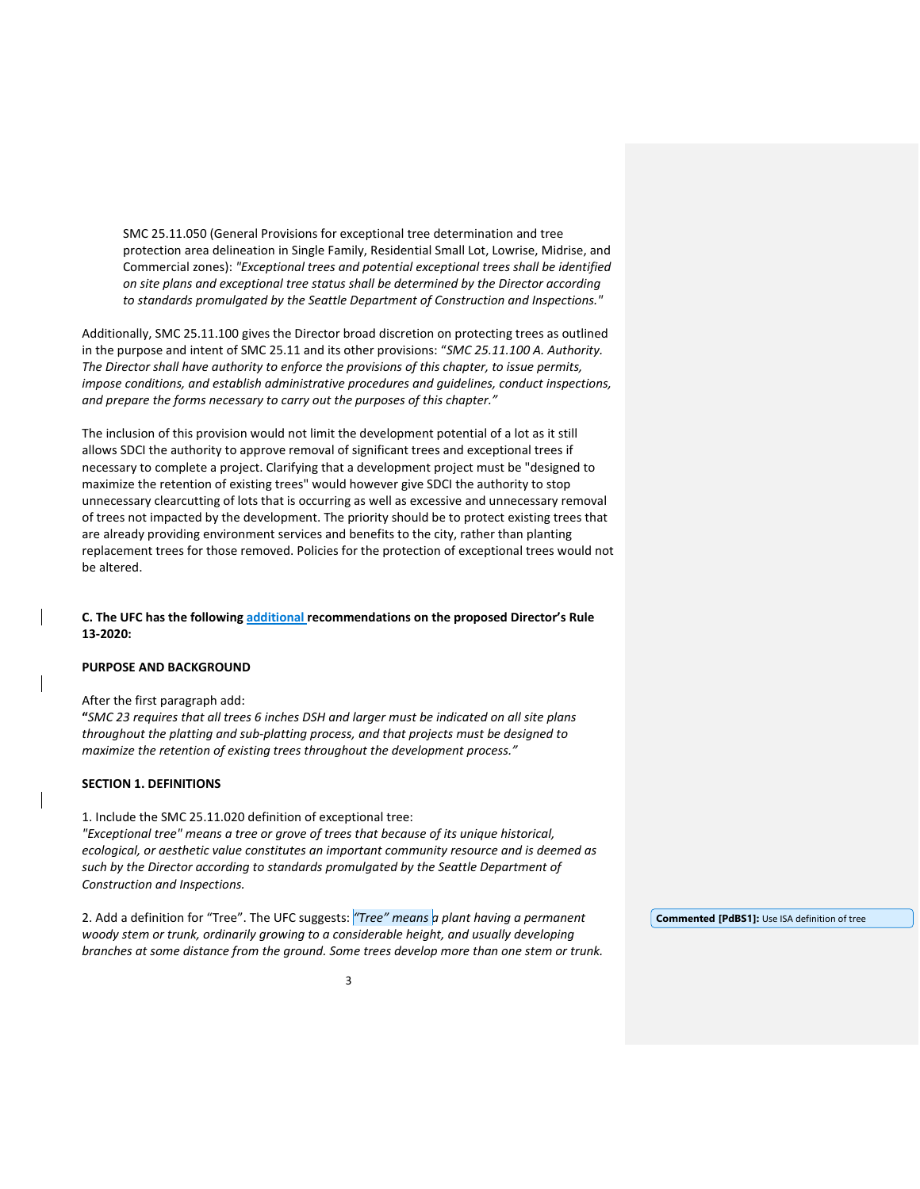SMC 25.11.050 (General Provisions for exceptional tree determination and tree protection area delineation in Single Family, Residential Small Lot, Lowrise, Midrise, and Commercial zones): *"Exceptional trees and potential exceptional trees shall be identified on site plans and exceptional tree status shall be determined by the Director according to standards promulgated by the Seattle Department of Construction and Inspections."*

Additionally, SMC 25.11.100 gives the Director broad discretion on protecting trees as outlined in the purpose and intent of SMC 25.11 and its other provisions: "*SMC 25.11.100 A. Authority. The Director shall have authority to enforce the provisions of this chapter, to issue permits, impose conditions, and establish administrative procedures and guidelines, conduct inspections, and prepare the forms necessary to carry out the purposes of this chapter."*

The inclusion of this provision would not limit the development potential of a lot as it still allows SDCI the authority to approve removal of significant trees and exceptional trees if necessary to complete a project. Clarifying that a development project must be "designed to maximize the retention of existing trees" would however give SDCI the authority to stop unnecessary clearcutting of lots that is occurring as well as excessive and unnecessary removal of trees not impacted by the development. The priority should be to protect existing trees that are already providing environment services and benefits to the city, rather than planting replacement trees for those removed. Policies for the protection of exceptional trees would not be altered.

**C. The UFC has the following additional recommendations on the proposed Director's Rule 13-2020:**

## **PURPOSE AND BACKGROUND**

After the first paragraph add:

**"***SMC 23 requires that all trees 6 inches DSH and larger must be indicated on all site plans throughout the platting and sub-platting process, and that projects must be designed to maximize the retention of existing trees throughout the development process."*

## **SECTION 1. DEFINITIONS**

1. Include the SMC 25.11.020 definition of exceptional tree:

*"Exceptional tree" means a tree or grove of trees that because of its unique historical, ecological, or aesthetic value constitutes an important community resource and is deemed as such by the Director according to standards promulgated by the Seattle Department of Construction and Inspections.*

2. Add a definition for "Tree". The UFC suggests: *"Tree" means a plant having a permanent woody stem or trunk, ordinarily growing to a considerable height, and usually developing branches at some distance from the ground. Some trees develop more than one stem or trunk.* 

**Commented [PdBS1]:** Use ISA definition of tree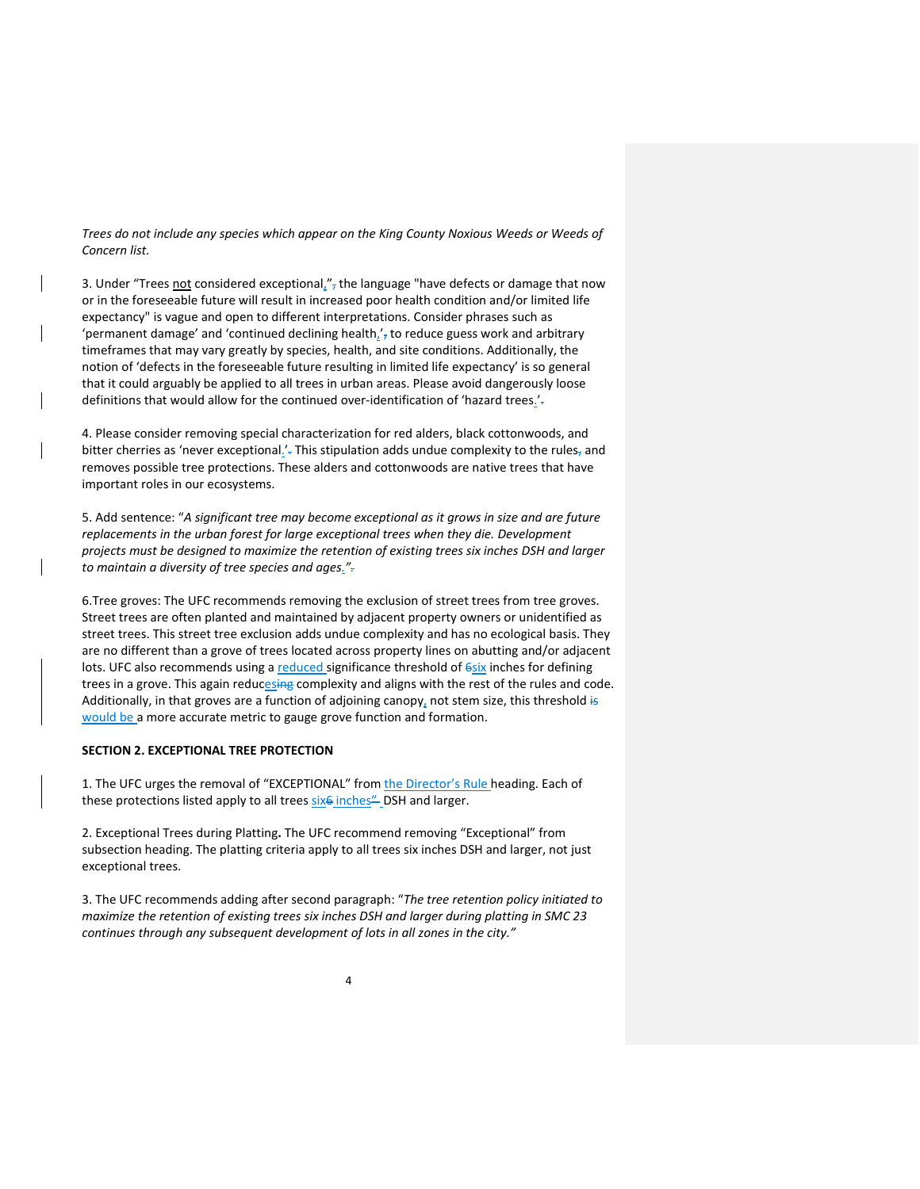*Trees do not include any species which appear on the King County Noxious Weeds or Weeds of Concern list.*

3. Under "Trees not considered exceptional,", the language "have defects or damage that now or in the foreseeable future will result in increased poor health condition and/or limited life expectancy" is vague and open to different interpretations. Consider phrases such as 'permanent damage' and 'continued declining health $\frac{1}{2}$ , to reduce guess work and arbitrary timeframes that may vary greatly by species, health, and site conditions. Additionally, the notion of 'defects in the foreseeable future resulting in limited life expectancy' is so general that it could arguably be applied to all trees in urban areas. Please avoid dangerously loose definitions that would allow for the continued over-identification of 'hazard trees.'.

4. Please consider removing special characterization for red alders, black cottonwoods, and bitter cherries as 'never exceptional.'. This stipulation adds undue complexity to the rules, and removes possible tree protections. These alders and cottonwoods are native trees that have important roles in our ecosystems.

5. Add sentence: "*A significant tree may become exceptional as it grows in size and are future replacements in the urban forest for large exceptional trees when they die. Development projects must be designed to maximize the retention of existing trees six inches DSH and larger to maintain a diversity of tree species and ages.".*

6.Tree groves: The UFC recommends removing the exclusion of street trees from tree groves. Street trees are often planted and maintained by adjacent property owners or unidentified as street trees. This street tree exclusion adds undue complexity and has no ecological basis. They are no different than a grove of trees located across property lines on abutting and/or adjacent lots. UFC also recommends using a reduced significance threshold of  $6six$  inches for defining trees in a grove. This again reducesing complexity and aligns with the rest of the rules and code. Additionally, in that groves are a function of adjoining canopy, not stem size, this threshold is would be a more accurate metric to gauge grove function and formation.

### **SECTION 2. EXCEPTIONAL TREE PROTECTION**

1. The UFC urges the removal of "EXCEPTIONAL" from the Director's Rule heading. Each of these protections listed apply to all trees six<sup>6</sup> inches" DSH and larger.

2. Exceptional Trees during Platting**.** The UFC recommend removing "Exceptional" from subsection heading. The platting criteria apply to all trees six inches DSH and larger, not just exceptional trees.

3. The UFC recommends adding after second paragraph: "*The tree retention policy initiated to maximize the retention of existing trees six inches DSH and larger during platting in SMC 23 continues through any subsequent development of lots in all zones in the city."*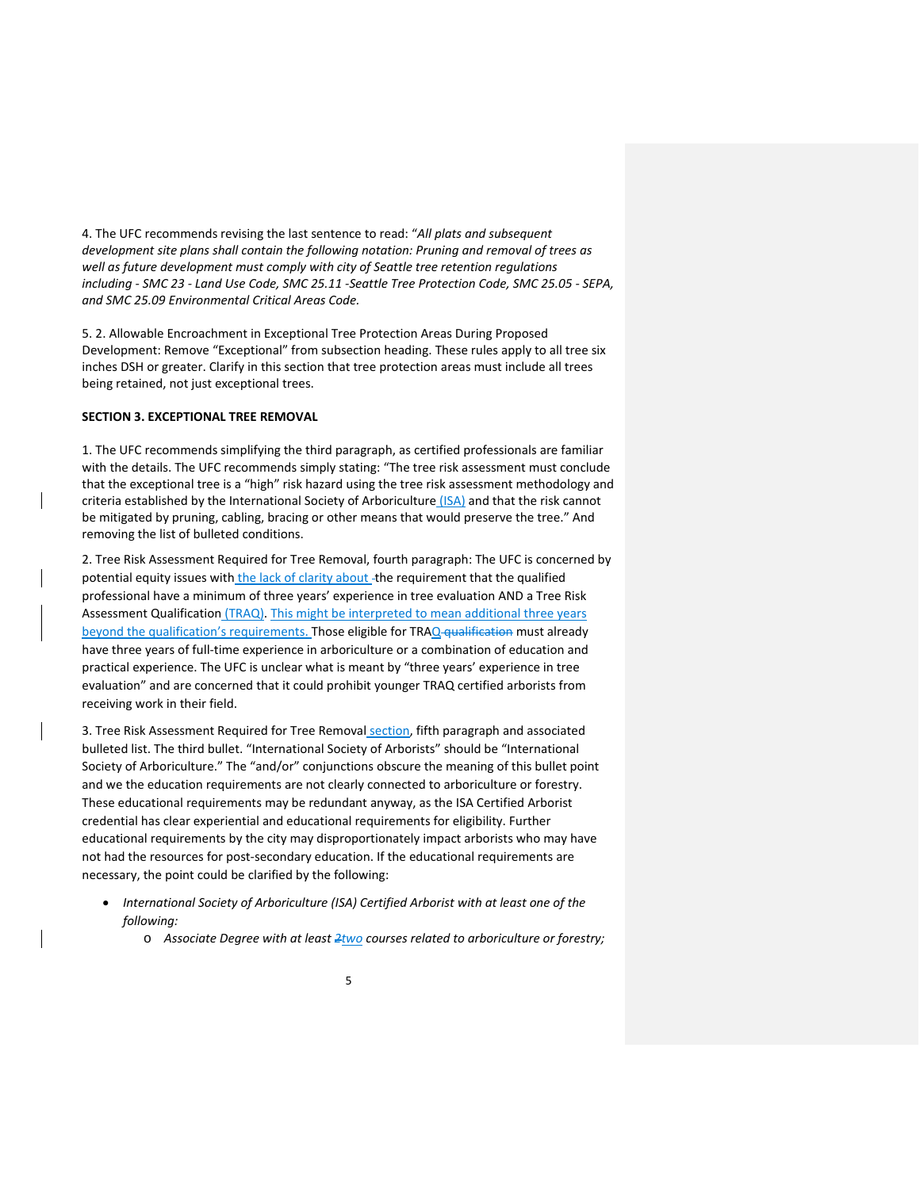4. The UFC recommends revising the last sentence to read: "*All plats and subsequent development site plans shall contain the following notation: Pruning and removal of trees as well as future development must comply with city of Seattle tree retention regulations including - SMC 23 - Land Use Code, SMC 25.11 -Seattle Tree Protection Code, SMC 25.05 - SEPA, and SMC 25.09 Environmental Critical Areas Code.*

5. 2. Allowable Encroachment in Exceptional Tree Protection Areas During Proposed Development: Remove "Exceptional" from subsection heading. These rules apply to all tree six inches DSH or greater. Clarify in this section that tree protection areas must include all trees being retained, not just exceptional trees.

### **SECTION 3. EXCEPTIONAL TREE REMOVAL**

1. The UFC recommends simplifying the third paragraph, as certified professionals are familiar with the details. The UFC recommends simply stating: "The tree risk assessment must conclude that the exceptional tree is a "high" risk hazard using the tree risk assessment methodology and criteria established by the International Society of Arboriculture (ISA) and that the risk cannot be mitigated by pruning, cabling, bracing or other means that would preserve the tree." And removing the list of bulleted conditions.

2. Tree Risk Assessment Required for Tree Removal, fourth paragraph: The UFC is concerned by potential equity issues with the lack of clarity about -the requirement that the qualified professional have a minimum of three years' experience in tree evaluation AND a Tree Risk Assessment Qualification (TRAQ). This might be interpreted to mean additional three years beyond the qualification's requirements. Those eligible for TRAQ qualification must already have three years of full-time experience in arboriculture or a combination of education and practical experience. The UFC is unclear what is meant by "three years' experience in tree evaluation" and are concerned that it could prohibit younger TRAQ certified arborists from receiving work in their field.

3. Tree Risk Assessment Required for Tree Removal section, fifth paragraph and associated bulleted list. The third bullet. "International Society of Arborists" should be "International Society of Arboriculture." The "and/or" conjunctions obscure the meaning of this bullet point and we the education requirements are not clearly connected to arboriculture or forestry. These educational requirements may be redundant anyway, as the ISA Certified Arborist credential has clear experiential and educational requirements for eligibility. Further educational requirements by the city may disproportionately impact arborists who may have not had the resources for post-secondary education. If the educational requirements are necessary, the point could be clarified by the following:

- *International Society of Arboriculture (ISA) Certified Arborist with at least one of the following:*
	- o *Associate Degree with at least 2two courses related to arboriculture or forestry;*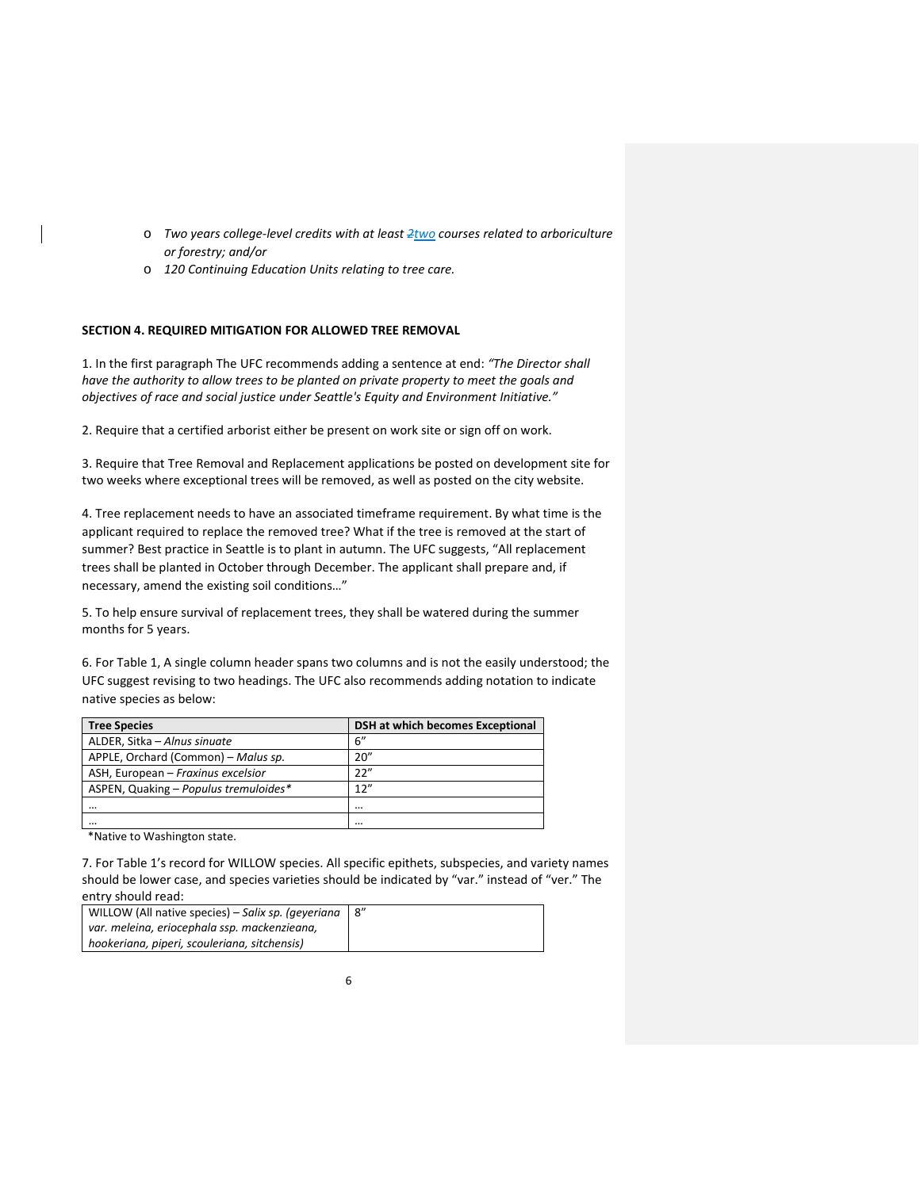- o *Two years college-level credits with at least 2two courses related to arboriculture or forestry; and/or*
- o *120 Continuing Education Units relating to tree care.*

# **SECTION 4. REQUIRED MITIGATION FOR ALLOWED TREE REMOVAL**

1. In the first paragraph The UFC recommends adding a sentence at end: *"The Director shall have the authority to allow trees to be planted on private property to meet the goals and objectives of race and social justice under Seattle's Equity and Environment Initiative."*

2. Require that a certified arborist either be present on work site or sign off on work.

3. Require that Tree Removal and Replacement applications be posted on development site for two weeks where exceptional trees will be removed, as well as posted on the city website.

4. Tree replacement needs to have an associated timeframe requirement. By what time is the applicant required to replace the removed tree? What if the tree is removed at the start of summer? Best practice in Seattle is to plant in autumn. The UFC suggests, "All replacement trees shall be planted in October through December. The applicant shall prepare and, if necessary, amend the existing soil conditions…"

5. To help ensure survival of replacement trees, they shall be watered during the summer months for 5 years.

6. For Table 1, A single column header spans two columns and is not the easily understood; the UFC suggest revising to two headings. The UFC also recommends adding notation to indicate native species as below:

| <b>Tree Species</b>                   | DSH at which becomes Exceptional |
|---------------------------------------|----------------------------------|
| ALDER, Sitka - Alnus sinuate          | 6"                               |
| APPLE, Orchard (Common) – Malus sp.   | 20''                             |
| ASH, European - Fraxinus excelsior    | 22"                              |
| ASPEN, Quaking - Populus tremuloides* | 12"                              |
|                                       | $\cdots$                         |
|                                       |                                  |

\*Native to Washington state.

7. For Table 1's record for WILLOW species. All specific epithets, subspecies, and variety names should be lower case, and species varieties should be indicated by "var." instead of "ver." The entry should read:

| WILLOW (All native species) – Salix sp. (geveriana |  |
|----------------------------------------------------|--|
| var. meleina, eriocephala ssp. mackenzieana,       |  |
| hookeriana, piperi, scouleriana, sitchensis)       |  |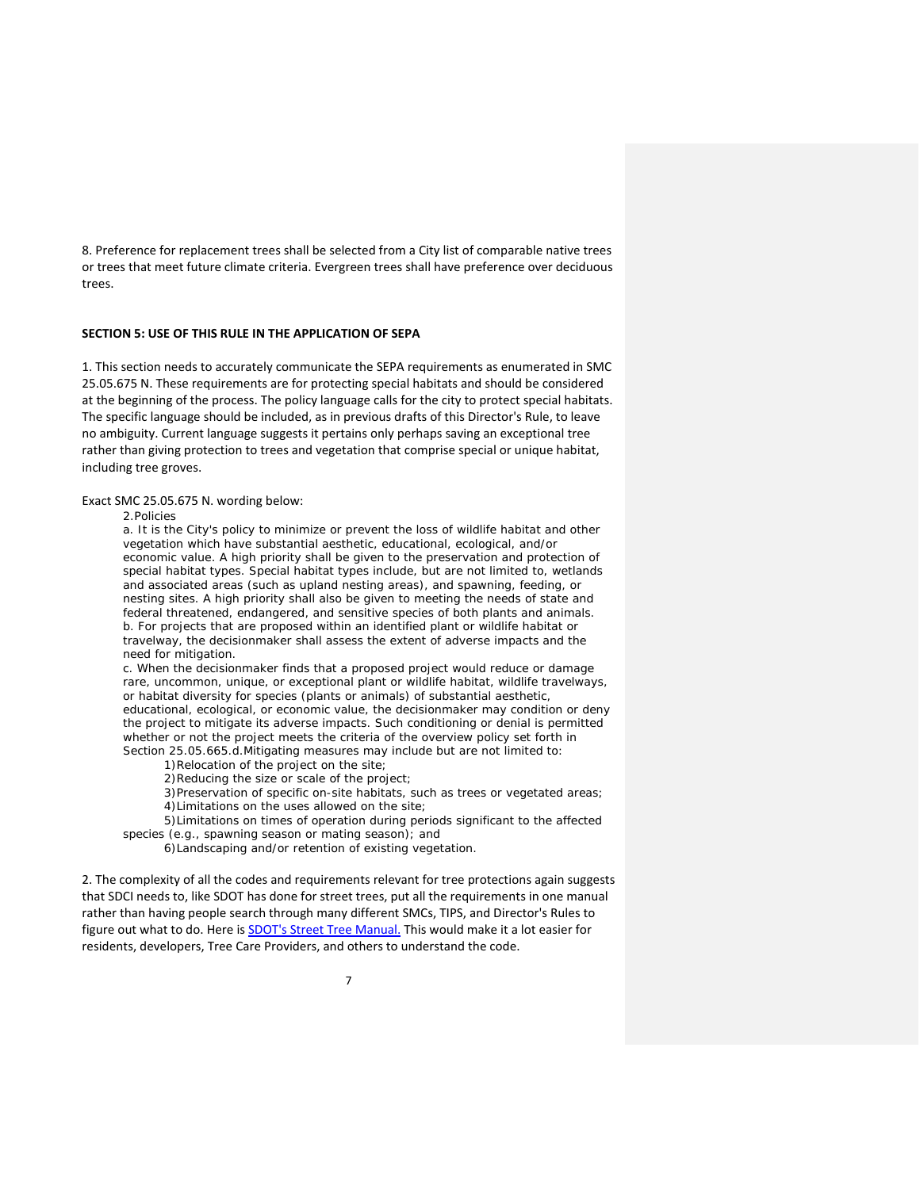8. Preference for replacement trees shall be selected from a City list of comparable native trees or trees that meet future climate criteria. Evergreen trees shall have preference over deciduous trees.

### **SECTION 5: USE OF THIS RULE IN THE APPLICATION OF SEPA**

1. This section needs to accurately communicate the SEPA requirements as enumerated in SMC 25.05.675 N. These requirements are for protecting special habitats and should be considered at the beginning of the process. The policy language calls for the city to protect special habitats. The specific language should be included, as in previous drafts of this Director's Rule, to leave no ambiguity. Current language suggests it pertains only perhaps saving an exceptional tree rather than giving protection to trees and vegetation that comprise special or unique habitat, including tree groves.

### Exact SMC 25.05.675 N. wording below:

#### *2.Policies*

*a. It is the City's policy to minimize or prevent the loss of wildlife habitat and other vegetation which have substantial aesthetic, educational, ecological, and/or economic value. A high priority shall be given to the preservation and protection of special habitat types. Special habitat types include, but are not limited to, wetlands and associated areas (such as upland nesting areas), and spawning, feeding, or nesting sites. A high priority shall also be given to meeting the needs of state and federal threatened, endangered, and sensitive species of both plants and animals. b. For projects that are proposed within an identified plant or wildlife habitat or travelway, the decisionmaker shall assess the extent of adverse impacts and the need for mitigation.*

*c. When the decisionmaker finds that a proposed project would reduce or damage rare, uncommon, unique, or exceptional plant or wildlife habitat, wildlife travelways, or habitat diversity for species (plants or animals) of substantial aesthetic, educational, ecological, or economic value, the decisionmaker may condition or deny the project to mitigate its adverse impacts. Such conditioning or denial is permitted*  whether or not the project meets the criteria of the overview policy set forth in *Section 25.05.665.d.Mitigating measures may include but are not limited to:*

*1)Relocation of the project on the site;*

*2)Reducing the size or scale of the project;*

*3)Preservation of specific on-site habitats, such as trees or vegetated areas; 4)Limitations on the uses allowed on the site;*

*5)Limitations on times of operation during periods significant to the affected species (e.g., spawning season or mating season); and*

*6)Landscaping and/or retention of existing vegetation.*

2. The complexity of all the codes and requirements relevant for tree protections again suggests that SDCI needs to, like SDOT has done for street trees, put all the requirements in one manual rather than having people search through many different SMCs, TIPS, and Director's Rules to figure out what to do. Here is **SDOT's Street Tree [Manual.](https://www.seattle.gov/Documents/Departments/SDOT/Trees/StreetTreeManuaWEB.pdf)** This would make it a lot easier for residents, developers, Tree Care Providers, and others to understand the code.